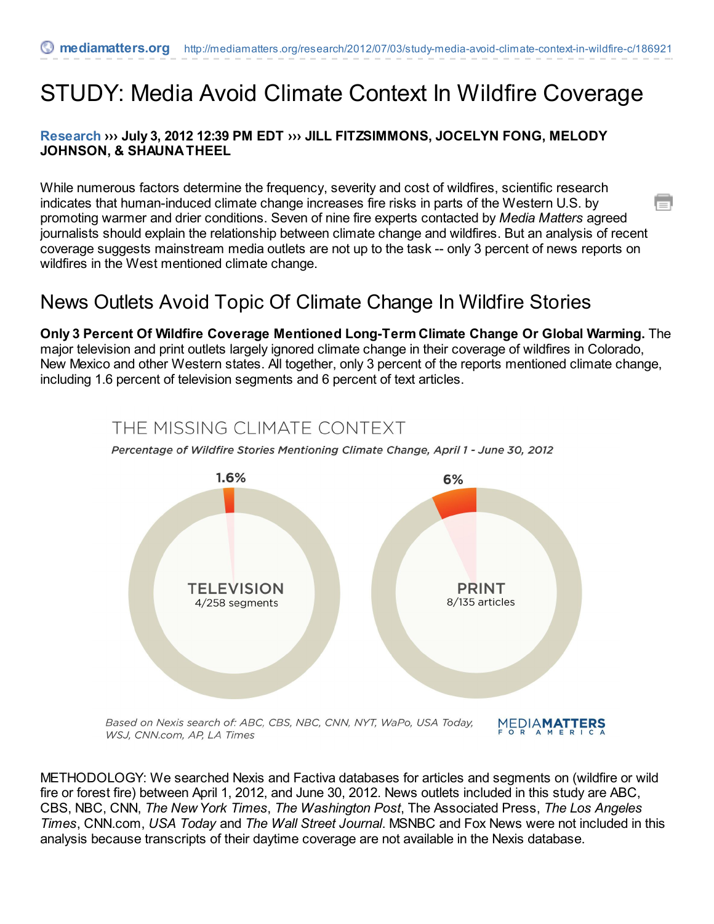# STUDY: Media Avoid Climate Context In Wildfire Coverage

#### **[Research](http://mediamatters.org/research) ››› July 3, 2012 12:39 PM EDT ››› JILL FITZSIMMONS, JOCELYN FONG, MELODY JOHNSON, & SHAUNA THEEL**

While numerous factors determine the frequency, severity and cost of wildfires, scientific research indicates that human-induced climate change increases fire risks in parts of the Western U.S. by promoting warmer and drier conditions. Seven of nine fire experts contacted by *Media Matters* agreed journalists should explain the relationship between climate change and wildfires. But an analysis of recent coverage suggests mainstream media outlets are not up to the task -- only 3 percent of news reports on wildfires in the West mentioned climate change.

# News Outlets Avoid Topic Of Climate Change In Wildfire Stories

**Only 3 Percent Of Wildfire Coverage Mentioned Long-Term Climate Change Or Global Warming.** The major television and print outlets largely ignored climate change in their coverage of wildfires in Colorado, New Mexico and other Western states. All together, only 3 percent of the reports mentioned climate change, including 1.6 percent of television segments and 6 percent of text articles.

## THE MISSING CLIMATE CONTEXT





METHODOLOGY: We searched Nexis and Factiva databases for articles and segments on (wildfire or wild fire or forest fire) between April 1, 2012, and June 30, 2012. News outlets included in this study are ABC, CBS, NBC, CNN, *The New York Times*, *The Washington Post*, The Associated Press, *The Los Angeles Times*, CNN.com, *USA Today* and *The Wall Street Journal*. MSNBC and Fox News were not included in this analysis because transcripts of their daytime coverage are not available in the Nexis database.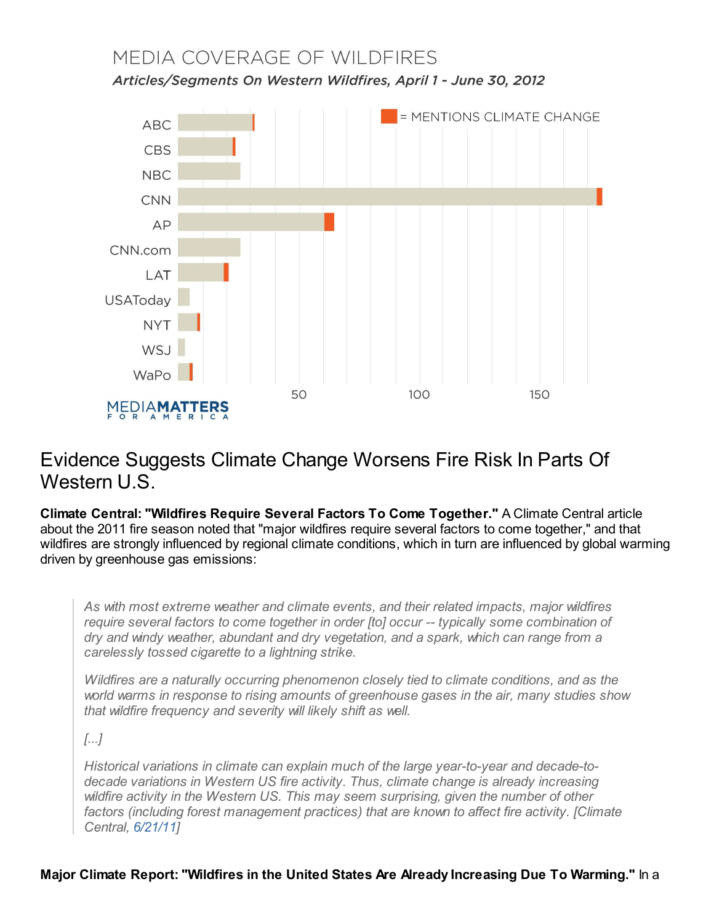# MEDIA COVERAGE OF WILDFIRES Articles/Segments On Western Wildfires, April 1 - June 30, 2012



# Evidence Suggests Climate Change Worsens Fire Risk In Parts Of Western U.S.

**Climate Central: "Wildfires Require Several Factors To Come Together."** A Climate Central article about the 2011 fire season noted that "major wildfires require several factors to come together," and that wildfires are strongly influenced by regional climate conditions, which in turn are influenced by global warming driven by greenhouse gas emissions:

*As with most extreme weather and climate events, and their related impacts, major wildfires require several factors to come together in order [to] occur -- typically some combination of dry and windy weather, abundant and dry vegetation, and a spark, which can range from a carelessly tossed cigarette to a lightning strike.*

*Wildfires are a naturally occurring phenomenon closely tied to climate conditions, and as the world warms in response to rising amounts of greenhouse gases in the air, many studies show that wildfire frequency and severity will likely shift as well.*

*[...]*

*Historical variations in climate can explain much of the large year-to-year and decade-todecade variations in Western US fire activity. Thus, climate change is already increasing wildfire activity in the Western US. This may seem surprising, given the number of other factors (including forest management practices) that are known to affect fire activity. [Climate Central, [6/21/11](http://www.climatecentral.org/news/southwest-wildfires-and-climate-change-explained/)]*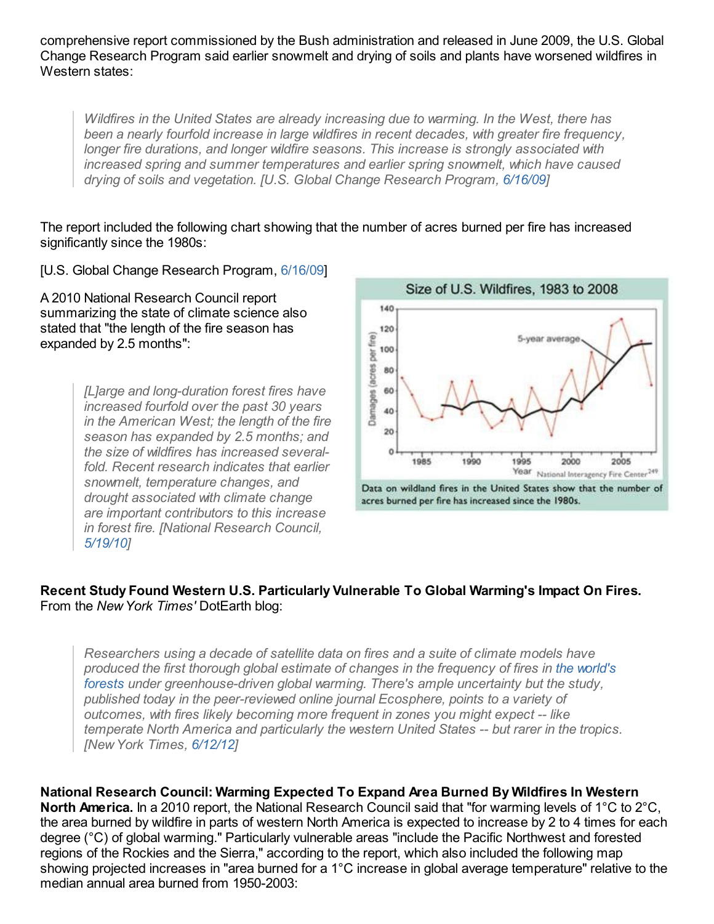comprehensive report commissioned by the Bush administration and released in June 2009, the U.S. Global Change Research Program said earlier snowmelt and drying of soils and plants have worsened wildfires in Western states:

*Wildfires in the United States are already increasing due to warming. In the West, there has been a nearly fourfold increase in large wildfires in recent decades, with greater fire frequency, longer fire durations, and longer wildfire seasons. This increase is strongly associated with increased spring and summer temperatures and earlier spring snowmelt, which have caused drying of soils and vegetation. [U.S. Global Change Research Program, [6/16/09](http://downloads.globalchange.gov/usimpacts/pdfs/climate-impacts-report.pdf)]*

The report included the following chart showing that the number of acres burned per fire has increased significantly since the 1980s:

[U.S. Global Change Research Program, [6/16/09](http://downloads.globalchange.gov/usimpacts/pdfs/climate-impacts-report.pdf)]

A 2010 National Research Council report summarizing the state of climate science also stated that "the length of the fire season has expanded by 2.5 months":

> *[L]arge and long-duration forest fires have increased fourfold over the past 30 years in the American West; the length of the fire season has expanded by 2.5 months; and the size of wildfires has increased severalfold. Recent research indicates that earlier snowmelt, temperature changes, and drought associated with climate change are important contributors to this increase in forest fire. [National Research Council, [5/19/10](http://www.nap.edu/catalog.php?record_id=12782)]*



#### **Recent Study Found Western U.S. Particularly Vulnerable To Global Warming's Impact On Fires.** From the *New York Times'* DotEarth blog:

*Researchers using a decade of satellite data on fires and a suite of climate models have produced the first thorough global estimate of changes in the frequency of fires in the world's forests under [greenhouse-driven](http://www.ucmp.berkeley.edu/glossary/gloss5/biome/forests.html) global warming. There's ample uncertainty but the study, published today in the peer-reviewed online journal Ecosphere, points to a variety of outcomes, with fires likely becoming more frequent in zones you might expect -- like temperate North America and particularly the western United States -- but rarer in the tropics. [New York Times, [6/12/12](http://dotearth.blogs.nytimes.com/2012/06/12/fire-and-warming-different-forecasts-for-tropics-and-temperate-zones/)]*

**National Research Council: Warming Expected To Expand Area Burned By Wildfires In Western North America.** In a 2010 report, the National Research Council said that "for warming levels of 1°C to 2°C, the area burned by wildfire in parts of western North America is expected to increase by 2 to 4 times for each degree (°C) of global warming." Particularly vulnerable areas "include the Pacific Northwest and forested regions of the Rockies and the Sierra," according to the report, which also included the following map showing projected increases in "area burned for a 1°C increase in global average temperature" relative to the median annual area burned from 1950-2003: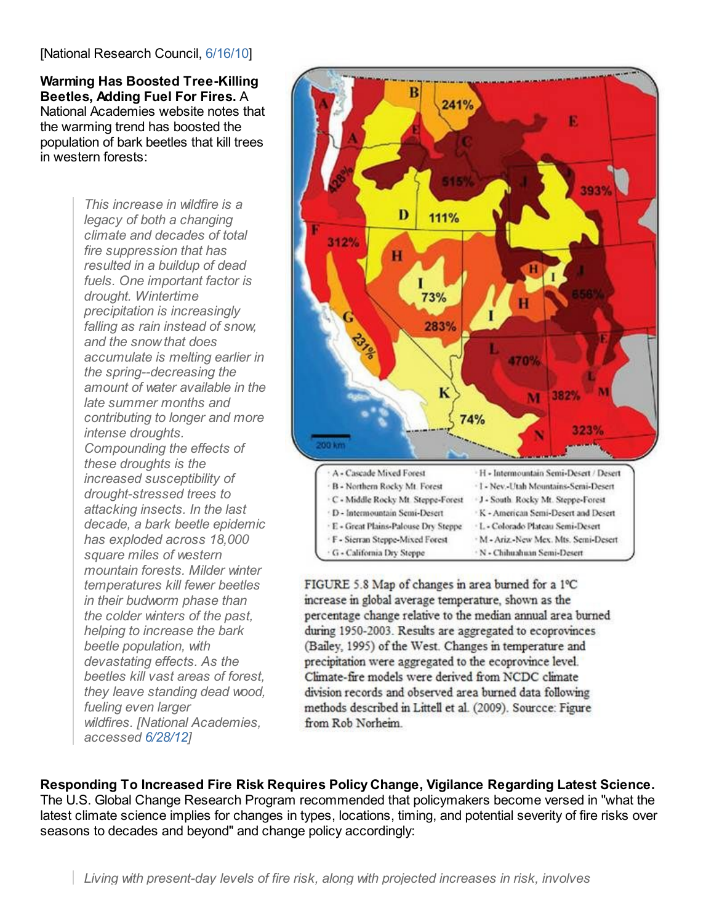#### [National Research Council, [6/16/10](http://www.nap.edu/openbook.php?record_id=12877&page=41)]

**Warming Has Boosted Tree-Killing Beetles, Adding Fuel For Fires.** A National Academies website notes that the warming trend has boosted the population of bark beetles that kill trees in western forests:

> *This increase in wildfire is a legacy of both a changing climate and decades of total fire suppression that has resulted in a buildup of dead fuels. One important factor is drought. Wintertime precipitation is increasingly falling as rain instead of snow, and the snow that does accumulate is melting earlier in the spring--decreasing the amount of water available in the late summer months and contributing to longer and more intense droughts. Compounding the effects of these droughts is the increased susceptibility of drought-stressed trees to attacking insects. In the last decade, a bark beetle epidemic has exploded across 18,000 square miles of western mountain forests. Milder winter temperatures kill fewer beetles in their budworm phase than the colder winters of the past, helping to increase the bark beetle population, with devastating effects. As the beetles kill vast areas of forest, they leave standing dead wood, fueling even larger wildfires. [National Academies, accessed [6/28/12](http://dels-old.nas.edu/climatechange/mountains.shtml)]*



FIGURE 5.8 Map of changes in area burned for a 1°C increase in global average temperature, shown as the percentage change relative to the median annual area burned during 1950-2003. Results are aggregated to ecoprovinces (Bailey, 1995) of the West. Changes in temperature and precipitation were aggregated to the ecoprovince level. Climate-fire models were derived from NCDC climate division records and observed area burned data following methods described in Littell et al. (2009). Sourcce: Figure from Rob Norheim.

**Responding To Increased Fire Risk Requires Policy Change, Vigilance Regarding Latest Science.** The U.S. Global Change Research Program recommended that policymakers become versed in "what the latest climate science implies for changes in types, locations, timing, and potential severity of fire risks over seasons to decades and beyond" and change policy accordingly: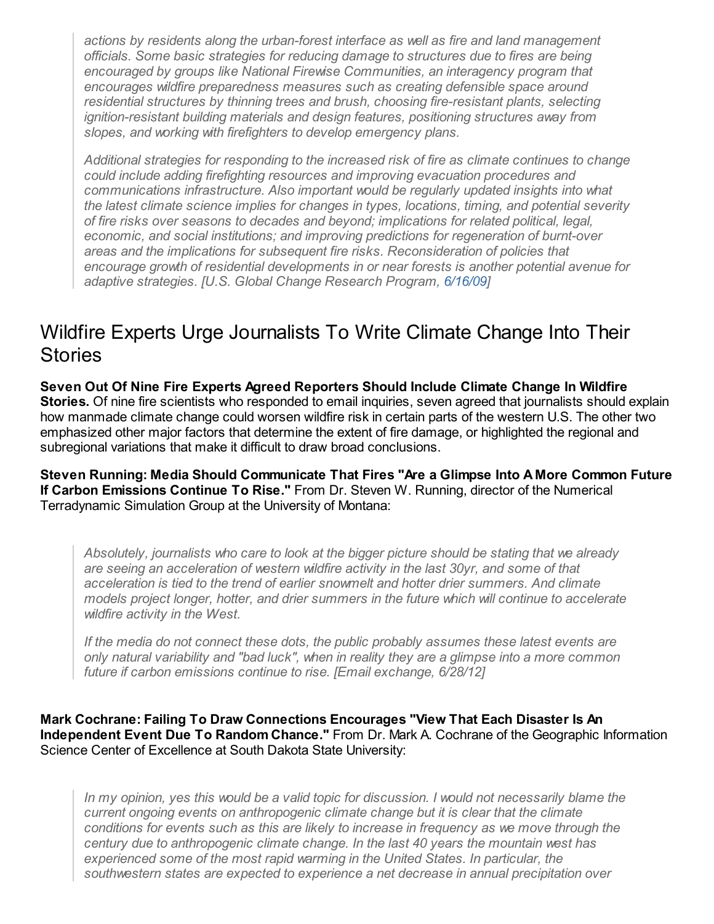*actions by residents along the urban-forest interface as well as fire and land management officials. Some basic strategies for reducing damage to structures due to fires are being encouraged by groups like National Firewise Communities, an interagency program that encourages wildfire preparedness measures such as creating defensible space around residential structures by thinning trees and brush, choosing fire-resistant plants, selecting ignition-resistant building materials and design features, positioning structures away from slopes, and working with firefighters to develop emergency plans.*

*Additional strategies for responding to the increased risk of fire as climate continues to change could include adding firefighting resources and improving evacuation procedures and communications infrastructure. Also important would be regularly updated insights into what the latest climate science implies for changes in types, locations, timing, and potential severity of fire risks over seasons to decades and beyond; implications for related political, legal, economic, and social institutions; and improving predictions for regeneration of burnt-over areas and the implications for subsequent fire risks. Reconsideration of policies that encourage growth of residential developments in or near forests is another potential avenue for adaptive strategies. [U.S. Global Change Research Program, [6/16/09](http://downloads.globalchange.gov/usimpacts/pdfs/climate-impacts-report.pdf)]*

### Wildfire Experts Urge Journalists To Write Climate Change Into Their **Stories**

**Seven Out Of Nine Fire Experts Agreed Reporters Should Include Climate Change In Wildfire Stories.** Of nine fire scientists who responded to email inquiries, seven agreed that journalists should explain how manmade climate change could worsen wildfire risk in certain parts of the western U.S. The other two emphasized other major factors that determine the extent of fire damage, or highlighted the regional and subregional variations that make it difficult to draw broad conclusions.

**Steven Running: Media Should Communicate That Fires "Are a Glimpse Into A More Common Future If Carbon Emissions Continue To Rise."** From Dr. Steven W. Running, director of the Numerical Terradynamic Simulation Group at the University of Montana:

*Absolutely, journalists who care to look at the bigger picture should be stating that we already are seeing an acceleration of western wildfire activity in the last 30yr, and some of that acceleration is tied to the trend of earlier snowmelt and hotter drier summers. And climate models project longer, hotter, and drier summers in the future which will continue to accelerate wildfire activity in the West.*

*If the media do not connect these dots, the public probably assumes these latest events are only natural variability and "bad luck", when in reality they are a glimpse into a more common future if carbon emissions continue to rise. [Email exchange, 6/28/12]*

**Mark Cochrane: Failing To Draw Connections Encourages "View That Each Disaster Is An Independent Event Due To Random Chance."** From Dr. Mark A. Cochrane of the Geographic Information Science Center of Excellence at South Dakota State University:

*In my opinion, yes this would be a valid topic for discussion. I would not necessarily blame the current ongoing events on anthropogenic climate change but it is clear that the climate conditions for events such as this are likely to increase in frequency as we move through the century due to anthropogenic climate change. In the last 40 years the mountain west has experienced some of the most rapid warming in the United States. In particular, the southwestern states are expected to experience a net decrease in annual precipitation over*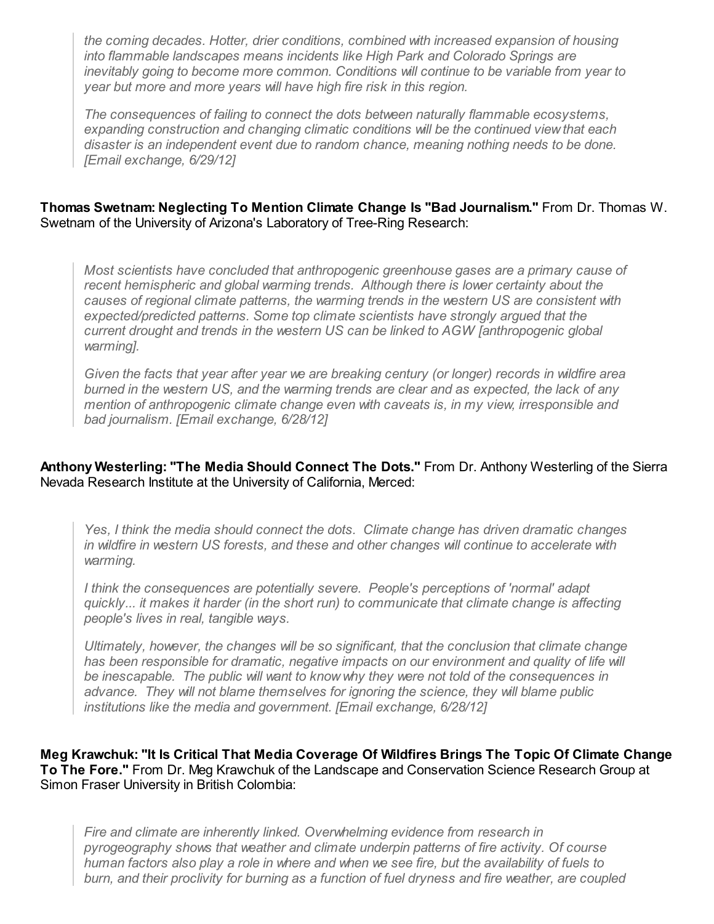*the coming decades. Hotter, drier conditions, combined with increased expansion of housing into flammable landscapes means incidents like High Park and Colorado Springs are inevitably going to become more common. Conditions will continue to be variable from year to year but more and more years will have high fire risk in this region.*

*The consequences of failing to connect the dots between naturally flammable ecosystems, expanding construction and changing climatic conditions will be the continued view that each disaster is an independent event due to random chance, meaning nothing needs to be done. [Email exchange, 6/29/12]*

#### **Thomas Swetnam: Neglecting To Mention Climate Change Is "Bad Journalism."** From Dr. Thomas W. Swetnam of the University of Arizona's Laboratory of Tree-Ring Research:

*Most scientists have concluded that anthropogenic greenhouse gases are a primary cause of recent hemispheric and global warming trends. Although there is lower certainty about the causes of regional climate patterns, the warming trends in the western US are consistent with expected/predicted patterns. Some top climate scientists have strongly argued that the current drought and trends in the western US can be linked to AGW [anthropogenic global warming].*

*Given the facts that year after year we are breaking century (or longer) records in wildfire area burned in the western US, and the warming trends are clear and as expected, the lack of any mention of anthropogenic climate change even with caveats is, in my view, irresponsible and bad journalism. [Email exchange, 6/28/12]*

#### **Anthony Westerling: "The Media Should Connect The Dots."** From Dr. Anthony Westerling of the Sierra Nevada Research Institute at the University of California, Merced:

*Yes, I think the media should connect the dots. Climate change has driven dramatic changes in wildfire in western US forests, and these and other changes will continue to accelerate with warming.*

*I think the consequences are potentially severe. People's perceptions of 'normal' adapt quickly... it makes it harder (in the short run) to communicate that climate change is affecting people's lives in real, tangible ways.*

*Ultimately, however, the changes will be so significant, that the conclusion that climate change has been responsible for dramatic, negative impacts on our environment and quality of life will be inescapable. The public will want to know why they were not told of the consequences in advance. They will not blame themselves for ignoring the science, they will blame public institutions like the media and government. [Email exchange, 6/28/12]*

**Meg Krawchuk: "It Is Critical That Media Coverage Of Wildfires Brings The Topic Of Climate Change To The Fore."** From Dr. Meg Krawchuk of the Landscape and Conservation Science Research Group at Simon Fraser University in British Colombia:

*Fire and climate are inherently linked. Overwhelming evidence from research in pyrogeography shows that weather and climate underpin patterns of fire activity. Of course* human factors also play a role in where and when we see fire, but the availability of fuels to *burn, and their proclivity for burning as a function of fuel dryness and fire weather, are coupled*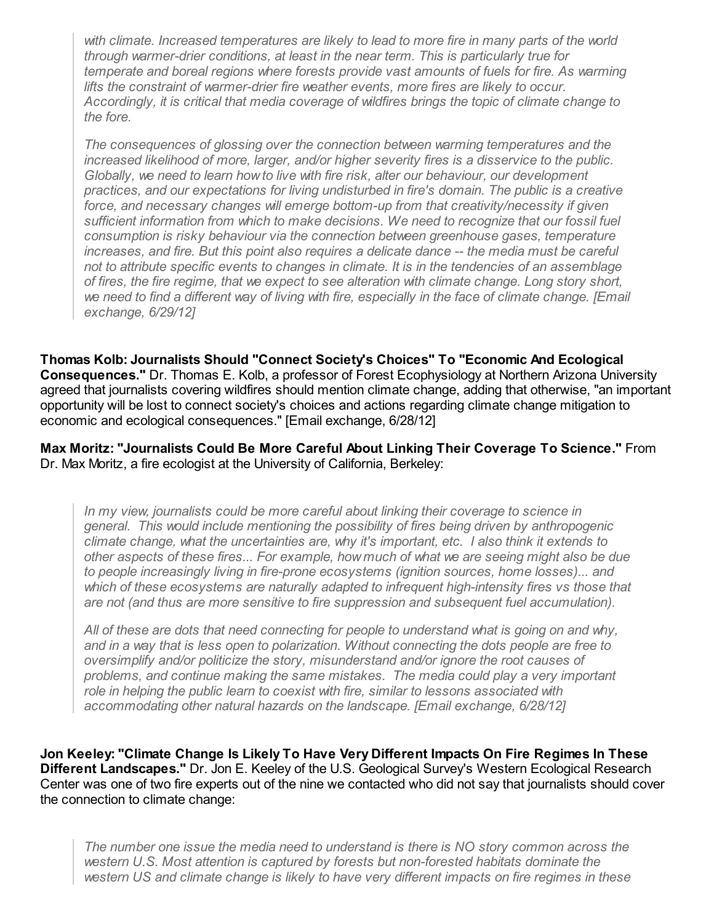*with climate. Increased temperatures are likely to lead to more fire in many parts of the world through warmer-drier conditions, at least in the near term. This is particularly true for temperate and boreal regions where forests provide vast amounts of fuels for fire. As warming lifts the constraint of warmer-drier fire weather events, more fires are likely to occur. Accordingly, it is critical that media coverage of wildfires brings the topic of climate change to the fore.*

*The consequences of glossing over the connection between warming temperatures and the increased likelihood of more, larger, and/or higher severity fires is a disservice to the public. Globally, we need to learn how to live with fire risk, alter our behaviour, our development practices, and our expectations for living undisturbed in fire's domain. The public is a creative force, and necessary changes will emerge bottom-up from that creativity/necessity if given sufficient information from which to make decisions. We need to recognize that our fossil fuel consumption is risky behaviour via the connection between greenhouse gases, temperature increases, and fire. But this point also requires a delicate dance -- the media must be careful not to attribute specific events to changes in climate. It is in the tendencies of an assemblage of fires, the fire regime, that we expect to see alteration with climate change. Long story short,* we need to find a different way of living with fire, especially in the face of climate change. [Email *exchange, 6/29/12]*

**Thomas Kolb: Journalists Should "Connect Society's Choices" To "Economic And Ecological Consequences."** Dr. Thomas E. Kolb, a professor of Forest Ecophysiology at Northern Arizona University agreed that journalists covering wildfires should mention climate change, adding that otherwise, "an important opportunity will be lost to connect society's choices and actions regarding climate change mitigation to economic and ecological consequences." [Email exchange, 6/28/12]

**Max Moritz: "Journalists Could Be More Careful About Linking Their Coverage To Science."** From Dr. Max Moritz, a fire ecologist at the University of California, Berkeley:

*In my view, journalists could be more careful about linking their coverage to science in general. This would include mentioning the possibility of fires being driven by anthropogenic climate change, what the uncertainties are, why it's important, etc. I also think it extends to other aspects of these fires... For example, how much of what we are seeing might also be due to people increasingly living in fire-prone ecosystems (ignition sources, home losses)... and which of these ecosystems are naturally adapted to infrequent high-intensity fires vs those that are not (and thus are more sensitive to fire suppression and subsequent fuel accumulation).*

*All of these are dots that need connecting for people to understand what is going on and why, and in a way that is less open to polarization. Without connecting the dots people are free to oversimplify and/or politicize the story, misunderstand and/or ignore the root causes of problems, and continue making the same mistakes. The media could play a very important role in helping the public learn to coexist with fire, similar to lessons associated with accommodating other natural hazards on the landscape. [Email exchange, 6/28/12]*

**Jon Keeley: "Climate Change Is Likely To Have Very Different Impacts On Fire Regimes In These Different Landscapes."** Dr. Jon E. Keeley of the U.S. Geological Survey's Western Ecological Research Center was one of two fire experts out of the nine we contacted who did not say that journalists should cover the connection to climate change:

*The number one issue the media need to understand is there is NO story common across the western U.S. Most attention is captured by forests but non-forested habitats dominate the western US and climate change is likely to have very different impacts on fire regimes in these*